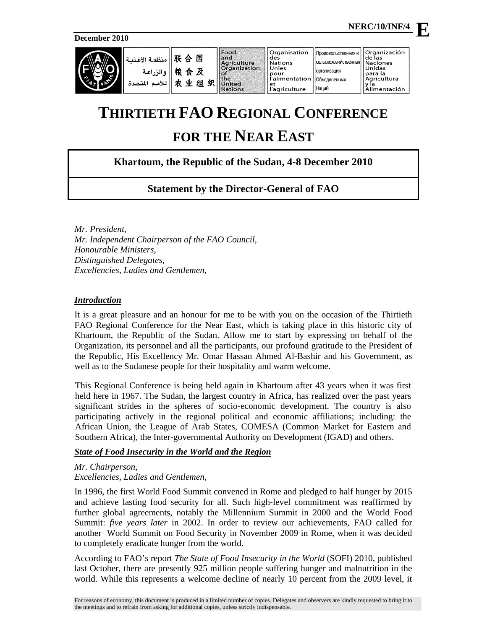**December 2010**

|  | . منظمة الأغذمة '<br>ه الن اعة<br>اللأمد<br>المتحدة | 联<br>国<br>$\Leftrightarrow$<br>粮<br>及<br>食<br>业<br>组<br>÷to. | 织 | Food<br>land<br>Agriculture<br>Organization<br>XO.<br><b>the</b><br>United<br><b>Nations</b> | Organisation<br>I des<br>Il Nations<br>ll Unies<br>li pour<br>r'alimentation   Объединенных<br>'l et<br>   l'agriculture | Продовольственная и<br>  сельскохозяйственная  <br><b>Горганизация</b><br><b>Наций</b> | <b>Organización</b><br>de las<br><b>Naciones</b><br>Unidas<br>I para la<br>Agricultura<br>limentación |
|--|-----------------------------------------------------|--------------------------------------------------------------|---|----------------------------------------------------------------------------------------------|--------------------------------------------------------------------------------------------------------------------------|----------------------------------------------------------------------------------------|-------------------------------------------------------------------------------------------------------|
|--|-----------------------------------------------------|--------------------------------------------------------------|---|----------------------------------------------------------------------------------------------|--------------------------------------------------------------------------------------------------------------------------|----------------------------------------------------------------------------------------|-------------------------------------------------------------------------------------------------------|

# **THIRTIETH FAO REGIONAL CONFERENCE**

# **FOR THE NEAR EAST**

## **Khartoum, the Republic of the Sudan, 4-8 December 2010**

## **Statement by the Director-General of FAO**

*Mr. President, Mr. Independent Chairperson of the FAO Council, Honourable Ministers, Distinguished Delegates, Excellencies, Ladies and Gentlemen,* 

#### *Introduction*

It is a great pleasure and an honour for me to be with you on the occasion of the Thirtieth FAO Regional Conference for the Near East, which is taking place in this historic city of Khartoum, the Republic of the Sudan. Allow me to start by expressing on behalf of the Organization, its personnel and all the participants, our profound gratitude to the President of the Republic, His Excellency Mr. Omar Hassan Ahmed Al-Bashir and his Government, as well as to the Sudanese people for their hospitality and warm welcome.

This Regional Conference is being held again in Khartoum after 43 years when it was first held here in 1967. The Sudan, the largest country in Africa, has realized over the past years significant strides in the spheres of socio-economic development. The country is also participating actively in the regional political and economic affiliations; including: the African Union, the League of Arab States, COMESA (Common Market for Eastern and Southern Africa), the Inter-governmental Authority on Development (IGAD) and others.

### *State of Food Insecurity in the World and the Region*

#### *Mr. Chairperson, Excellencies, Ladies and Gentlemen,*

In 1996, the first World Food Summit convened in Rome and pledged to half hunger by 2015 and achieve lasting food security for all. Such high-level commitment was reaffirmed by further global agreements, notably the Millennium Summit in 2000 and the World Food Summit: *five years later* in 2002. In order to review our achievements, FAO called for another World Summit on Food Security in November 2009 in Rome, when it was decided to completely eradicate hunger from the world.

According to FAO's report *The State of Food Insecurity in the World* (SOFI) 2010, published last October, there are presently 925 million people suffering hunger and malnutrition in the world. While this represents a welcome decline of nearly 10 percent from the 2009 level, it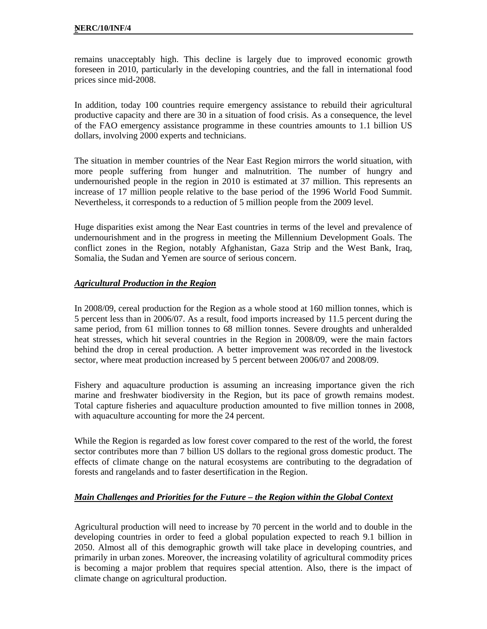remains unacceptably high. This decline is largely due to improved economic growth foreseen in 2010, particularly in the developing countries, and the fall in international food prices since mid-2008.

In addition, today 100 countries require emergency assistance to rebuild their agricultural productive capacity and there are 30 in a situation of food crisis. As a consequence, the level of the FAO emergency assistance programme in these countries amounts to 1.1 billion US dollars, involving 2000 experts and technicians.

The situation in member countries of the Near East Region mirrors the world situation, with more people suffering from hunger and malnutrition. The number of hungry and undernourished people in the region in 2010 is estimated at 37 million. This represents an increase of 17 million people relative to the base period of the 1996 World Food Summit. Nevertheless, it corresponds to a reduction of 5 million people from the 2009 level.

Huge disparities exist among the Near East countries in terms of the level and prevalence of undernourishment and in the progress in meeting the Millennium Development Goals. The conflict zones in the Region, notably Afghanistan, Gaza Strip and the West Bank, Iraq, Somalia, the Sudan and Yemen are source of serious concern.

### *Agricultural Production in the Region*

In 2008/09, cereal production for the Region as a whole stood at 160 million tonnes, which is 5 percent less than in 2006/07. As a result, food imports increased by 11.5 percent during the same period, from 61 million tonnes to 68 million tonnes. Severe droughts and unheralded heat stresses, which hit several countries in the Region in 2008/09, were the main factors behind the drop in cereal production. A better improvement was recorded in the livestock sector, where meat production increased by 5 percent between 2006/07 and 2008/09.

Fishery and aquaculture production is assuming an increasing importance given the rich marine and freshwater biodiversity in the Region, but its pace of growth remains modest. Total capture fisheries and aquaculture production amounted to five million tonnes in 2008, with aquaculture accounting for more the 24 percent.

While the Region is regarded as low forest cover compared to the rest of the world, the forest sector contributes more than 7 billion US dollars to the regional gross domestic product. The effects of climate change on the natural ecosystems are contributing to the degradation of forests and rangelands and to faster desertification in the Region.

### *Main Challenges and Priorities for the Future – the Region within the Global Context*

Agricultural production will need to increase by 70 percent in the world and to double in the developing countries in order to feed a global population expected to reach 9.1 billion in 2050. Almost all of this demographic growth will take place in developing countries, and primarily in urban zones. Moreover, the increasing volatility of agricultural commodity prices is becoming a major problem that requires special attention. Also, there is the impact of climate change on agricultural production.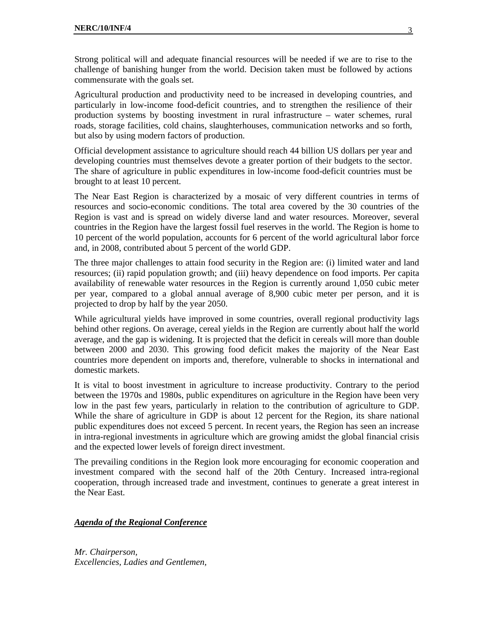Strong political will and adequate financial resources will be needed if we are to rise to the challenge of banishing hunger from the world. Decision taken must be followed by actions commensurate with the goals set.

Agricultural production and productivity need to be increased in developing countries, and particularly in low-income food-deficit countries, and to strengthen the resilience of their production systems by boosting investment in rural infrastructure – water schemes, rural roads, storage facilities, cold chains, slaughterhouses, communication networks and so forth, but also by using modern factors of production.

Official development assistance to agriculture should reach 44 billion US dollars per year and developing countries must themselves devote a greater portion of their budgets to the sector. The share of agriculture in public expenditures in low-income food-deficit countries must be brought to at least 10 percent.

The Near East Region is characterized by a mosaic of very different countries in terms of resources and socio-economic conditions. The total area covered by the 30 countries of the Region is vast and is spread on widely diverse land and water resources. Moreover, several countries in the Region have the largest fossil fuel reserves in the world. The Region is home to 10 percent of the world population, accounts for 6 percent of the world agricultural labor force and, in 2008, contributed about 5 percent of the world GDP.

The three major challenges to attain food security in the Region are: (i) limited water and land resources; (ii) rapid population growth; and (iii) heavy dependence on food imports. Per capita availability of renewable water resources in the Region is currently around 1,050 cubic meter per year, compared to a global annual average of 8,900 cubic meter per person, and it is projected to drop by half by the year 2050.

While agricultural yields have improved in some countries, overall regional productivity lags behind other regions. On average, cereal yields in the Region are currently about half the world average, and the gap is widening. It is projected that the deficit in cereals will more than double between 2000 and 2030. This growing food deficit makes the majority of the Near East countries more dependent on imports and, therefore, vulnerable to shocks in international and domestic markets.

It is vital to boost investment in agriculture to increase productivity. Contrary to the period between the 1970s and 1980s, public expenditures on agriculture in the Region have been very low in the past few years, particularly in relation to the contribution of agriculture to GDP. While the share of agriculture in GDP is about 12 percent for the Region, its share national public expenditures does not exceed 5 percent. In recent years, the Region has seen an increase in intra-regional investments in agriculture which are growing amidst the global financial crisis and the expected lower levels of foreign direct investment.

The prevailing conditions in the Region look more encouraging for economic cooperation and investment compared with the second half of the 20th Century. Increased intra-regional cooperation, through increased trade and investment, continues to generate a great interest in the Near East.

#### *Agenda of the Regional Conference*

*Mr. Chairperson, Excellencies, Ladies and Gentlemen,*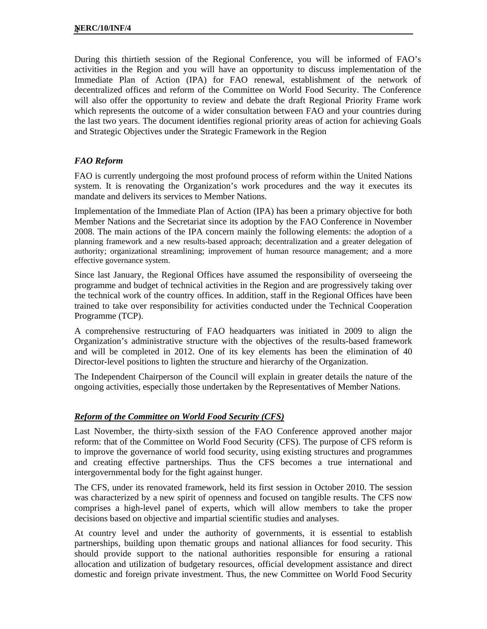During this thirtieth session of the Regional Conference, you will be informed of FAO's activities in the Region and you will have an opportunity to discuss implementation of the Immediate Plan of Action (IPA) for FAO renewal, establishment of the network of decentralized offices and reform of the Committee on World Food Security. The Conference will also offer the opportunity to review and debate the draft Regional Priority Frame work which represents the outcome of a wider consultation between FAO and your countries during the last two years. The document identifies regional priority areas of action for achieving Goals and Strategic Objectives under the Strategic Framework in the Region

### *FAO Reform*

FAO is currently undergoing the most profound process of reform within the United Nations system. It is renovating the Organization's work procedures and the way it executes its mandate and delivers its services to Member Nations.

Implementation of the Immediate Plan of Action (IPA) has been a primary objective for both Member Nations and the Secretariat since its adoption by the FAO Conference in November 2008. The main actions of the IPA concern mainly the following elements: the adoption of a planning framework and a new results-based approach; decentralization and a greater delegation of authority; organizational streamlining; improvement of human resource management; and a more effective governance system.

Since last January, the Regional Offices have assumed the responsibility of overseeing the programme and budget of technical activities in the Region and are progressively taking over the technical work of the country offices. In addition, staff in the Regional Offices have been trained to take over responsibility for activities conducted under the Technical Cooperation Programme (TCP).

A comprehensive restructuring of FAO headquarters was initiated in 2009 to align the Organization's administrative structure with the objectives of the results-based framework and will be completed in 2012. One of its key elements has been the elimination of 40 Director-level positions to lighten the structure and hierarchy of the Organization.

The Independent Chairperson of the Council will explain in greater details the nature of the ongoing activities, especially those undertaken by the Representatives of Member Nations.

### *Reform of the Committee on World Food Security (CFS)*

Last November, the thirty-sixth session of the FAO Conference approved another major reform: that of the Committee on World Food Security (CFS). The purpose of CFS reform is to improve the governance of world food security, using existing structures and programmes and creating effective partnerships. Thus the CFS becomes a true international and intergovernmental body for the fight against hunger.

The CFS, under its renovated framework, held its first session in October 2010. The session was characterized by a new spirit of openness and focused on tangible results. The CFS now comprises a high-level panel of experts, which will allow members to take the proper decisions based on objective and impartial scientific studies and analyses.

At country level and under the authority of governments, it is essential to establish partnerships, building upon thematic groups and national alliances for food security. This should provide support to the national authorities responsible for ensuring a rational allocation and utilization of budgetary resources, official development assistance and direct domestic and foreign private investment. Thus, the new Committee on World Food Security